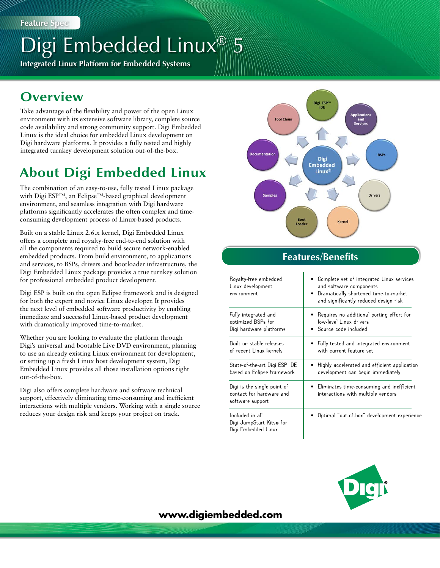# Digi Embedded Linux<sup>®</sup> 5

**Integrated Linux Platform for Embedded Systems**

# **Overview**

Take advantage of the flexibility and power of the open Linux environment with its extensive software library, complete source code availability and strong community support. Digi Embedded Linux is the ideal choice for embedded Linux development on Digi hardware platforms. It provides a fully tested and highly integrated turnkey development solution out-of-the-box.

# **About Digi Embedded Linux**

The combination of an easy-to-use, fully tested Linux package with Digi ESP™, an Eclipse™-based graphical development environment, and seamless integration with Digi hardware platforms significantly accelerates the often complex and timeconsuming development process of Linux-based products.

Built on a stable Linux 2.6.x kernel, Digi Embedded Linux offers a complete and royalty-free end-to-end solution with all the components required to build secure network-enabled embedded products. From build environment, to applications and services, to BSPs, drivers and bootloader infrastructure, the Digi Embedded Linux package provides a true turnkey solution for professional embedded product development.

Digi ESP is built on the open Eclipse framework and is designed for both the expert and novice Linux developer. It provides the next level of embedded software productivity by enabling immediate and successful Linux-based product development with dramatically improved time-to-market.

Whether you are looking to evaluate the platform through Digi's universal and bootable Live DVD environment, planning to use an already existing Linux environment for development, or setting up a fresh Linux host development system, Digi Embedded Linux provides all those installation options right out-of-the-box.

Digi also offers complete hardware and software technical support, effectively eliminating time-consuming and inefficient interactions with multiple vendors. Working with a single source reduces your design risk and keeps your project on track.



# **Features/Benefits**

| Royalty-free embedded<br>Linux development<br>environment                   | Complete set of integrated Linux services<br>$\bullet$<br>and software components<br>Dramatically shortened time-to-market<br>$\bullet$<br>and significantly reduced design risk |
|-----------------------------------------------------------------------------|----------------------------------------------------------------------------------------------------------------------------------------------------------------------------------|
| Fully integrated and                                                        | Requires no additional porting effort for                                                                                                                                        |
| optimized BSPs for                                                          | low-level Linux drivers                                                                                                                                                          |
| Digi hardware platforms                                                     | Source code included                                                                                                                                                             |
| Built on stable releases                                                    | Fully tested and integrated environment                                                                                                                                          |
| of recent Linux kernels                                                     | with current feature set                                                                                                                                                         |
| State-of-the-art Digi ESP IDE                                               | Highly accelerated and efficient application                                                                                                                                     |
| based on Eclipse framework                                                  | development can begin immediately                                                                                                                                                |
| Digi is the single point of<br>contact for hardware and<br>software support | Eliminates time-consuming and inefficient<br>interactions with multiple vendors                                                                                                  |
| Included in all<br>Digi JumpStart Kitso for<br>Digi Embedded Linux          | Optimal "out-of-box" development experience                                                                                                                                      |



# **www.digiembedded.com**